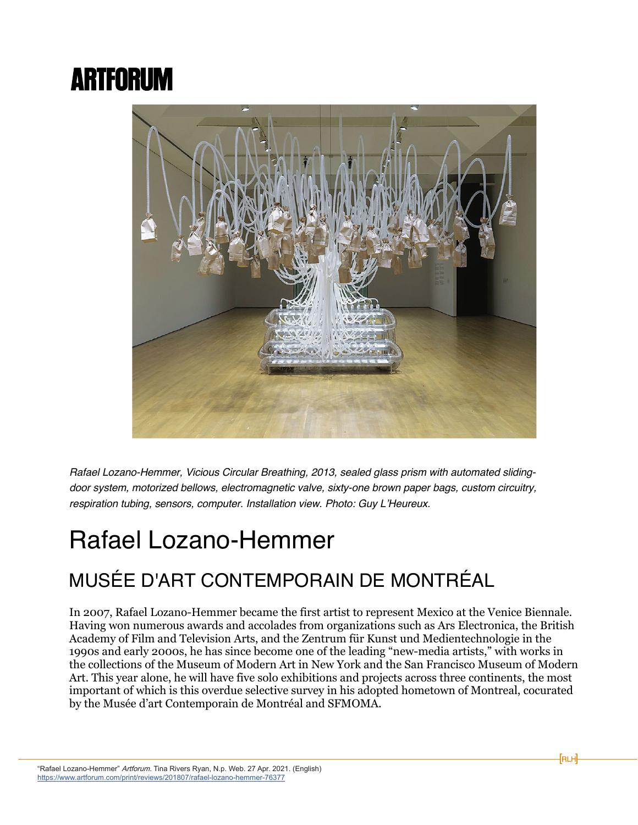## **ARTFORUM**



*Rafael Lozano-Hemmer, Vicious Circular Breathing, 2013, sealed glass prism with automated slidingdoor system, motorized bellows, electromagnetic valve, sixty-one brown paper bags, custom circuitry, respiration tubing, sensors, computer. Installation view. Photo: Guy L'Heureux.* 

## Rafael Lozano-Hemmer

## MUSÉE D'ART CONTEMPORAIN DE MONTRÉAL

In 2007, Rafael Lozano-Hemmer became the first artist to represent Mexico at the Venice Biennale. Having won numerous awards and accolades from organizations such as Ars Electronica, the British Academy of Film and Television Arts, and the Zentrum für Kunst und Medientechnologie in the 1990s and early 2000s, he has since become one of the leading "new-media artists," with works in the collections of the Museum of Modern Art in New York and the San Francisco Museum of Modern Art. This year alone, he will have five solo exhibitions and projects across three continents, the most important of which is this overdue selective survey in his adopted hometown of Montreal, cocurated by the Musée d'art Contemporain de Montréal and SFMOMA.

[ ] RLH